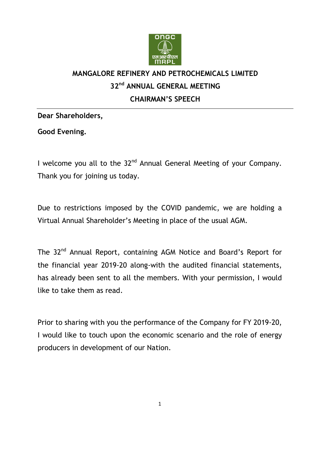

# **MANGALORE REFINERY AND PETROCHEMICALS LIMITED 32nd ANNUAL GENERAL MEETING CHAIRMAN'S SPEECH**

**Dear Shareholders,** 

**Good Evening.** 

I welcome you all to the 32<sup>nd</sup> Annual General Meeting of your Company. Thank you for joining us today.

Due to restrictions imposed by the COVID pandemic, we are holding a Virtual Annual Shareholder's Meeting in place of the usual AGM.

The 32<sup>nd</sup> Annual Report, containing AGM Notice and Board's Report for the financial year 2019-20 along-with the audited financial statements, has already been sent to all the members. With your permission, I would like to take them as read.

Prior to sharing with you the performance of the Company for FY 2019-20, I would like to touch upon the economic scenario and the role of energy producers in development of our Nation.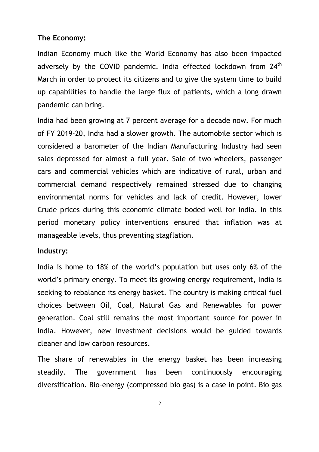#### **The Economy:**

Indian Economy much like the World Economy has also been impacted adversely by the COVID pandemic. India effected lockdown from 24<sup>th</sup> March in order to protect its citizens and to give the system time to build up capabilities to handle the large flux of patients, which a long drawn pandemic can bring.

India had been growing at 7 percent average for a decade now. For much of FY 2019-20, India had a slower growth. The automobile sector which is considered a barometer of the Indian Manufacturing Industry had seen sales depressed for almost a full year. Sale of two wheelers, passenger cars and commercial vehicles which are indicative of rural, urban and commercial demand respectively remained stressed due to changing environmental norms for vehicles and lack of credit. However, lower Crude prices during this economic climate boded well for India. In this period monetary policy interventions ensured that inflation was at manageable levels, thus preventing stagflation.

#### **Industry:**

India is home to 18% of the world's population but uses only 6% of the world's primary energy. To meet its growing energy requirement, India is seeking to rebalance its energy basket. The country is making critical fuel choices between Oil, Coal, Natural Gas and Renewables for power generation. Coal still remains the most important source for power in India. However, new investment decisions would be guided towards cleaner and low carbon resources.

The share of renewables in the energy basket has been increasing steadily. The government has been continuously encouraging diversification. Bio-energy (compressed bio gas) is a case in point. Bio gas

2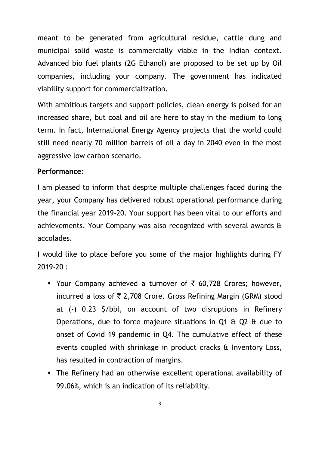meant to be generated from agricultural residue, cattle dung and municipal solid waste is commercially viable in the Indian context. Advanced bio fuel plants (2G Ethanol) are proposed to be set up by Oil companies, including your company. The government has indicated viability support for commercialization.

With ambitious targets and support policies, clean energy is poised for an increased share, but coal and oil are here to stay in the medium to long term. In fact, International Energy Agency projects that the world could still need nearly 70 million barrels of oil a day in 2040 even in the most aggressive low carbon scenario.

## **Performance:**

I am pleased to inform that despite multiple challenges faced during the year, your Company has delivered robust operational performance during the financial year 2019-20. Your support has been vital to our efforts and achievements. Your Company was also recognized with several awards & accolades.

I would like to place before you some of the major highlights during FY 2019-20 :

- Your Company achieved a turnover of  $\bar{\tau}$  60,728 Crores; however, incurred a loss of  $\bar{\tau}$  2,708 Crore. Gross Refining Margin (GRM) stood at (-) 0.23 \$/bbl, on account of two disruptions in Refinery Operations, due to force majeure situations in Q1 & Q2 & due to onset of Covid 19 pandemic in Q4. The cumulative effect of these events coupled with shrinkage in product cracks & Inventory Loss, has resulted in contraction of margins.
- The Refinery had an otherwise excellent operational availability of 99.06%, which is an indication of its reliability.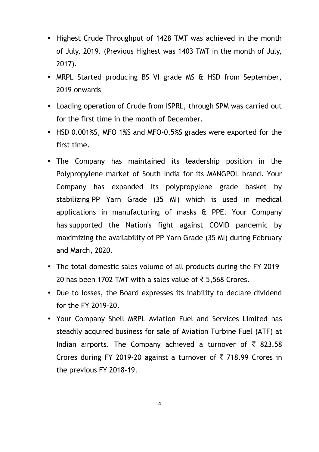- Highest Crude Throughput of 1428 TMT was achieved in the month of July, 2019. (Previous Highest was 1403 TMT in the month of July, 2017).
- MRPL Started producing BS VI grade MS & HSD from September, 2019 onwards
- Loading operation of Crude from ISPRL, through SPM was carried out for the first time in the month of December.
- HSD 0.001%S, MFO 1%S and MFO-0.5%S grades were exported for the first time.
- The Company has maintained its leadership position in the Polypropylene market of South India for its MANGPOL brand. Your Company has expanded its polypropylene grade basket by stabilizing PP Yarn Grade (35 MI) which is used in medical applications in manufacturing of masks & PPE. Your Company has supported the Nation's fight against COVID pandemic by maximizing the availability of PP Yarn Grade (35 MI) during February and March, 2020.
- The total domestic sales volume of all products during the FY 2019- 20 has been 1702 TMT with a sales value of  $\overline{5}$  5,568 Crores.
- Due to losses, the Board expresses its inability to declare dividend for the FY 2019-20.
- Your Company Shell MRPL Aviation Fuel and Services Limited has steadily acquired business for sale of Aviation Turbine Fuel (ATF) at Indian airports. The Company achieved a turnover of  $\bar{\tau}$  823.58 Crores during FY 2019-20 against a turnover of  $\bar{\tau}$  718.99 Crores in the previous FY 2018-19.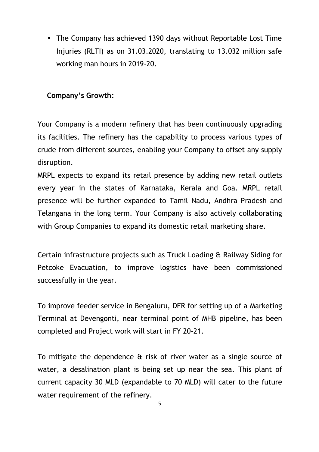• The Company has achieved 1390 days without Reportable Lost Time Injuries (RLTI) as on 31.03.2020, translating to 13.032 million safe working man hours in 2019-20.

# **Company's Growth:**

Your Company is a modern refinery that has been continuously upgrading its facilities. The refinery has the capability to process various types of crude from different sources, enabling your Company to offset any supply disruption.

MRPL expects to expand its retail presence by adding new retail outlets every year in the states of Karnataka, Kerala and Goa. MRPL retail presence will be further expanded to Tamil Nadu, Andhra Pradesh and Telangana in the long term. Your Company is also actively collaborating with Group Companies to expand its domestic retail marketing share.

Certain infrastructure projects such as Truck Loading & Railway Siding for Petcoke Evacuation, to improve logistics have been commissioned successfully in the year.

To improve feeder service in Bengaluru, DFR for setting up of a Marketing Terminal at Devengonti, near terminal point of MHB pipeline, has been completed and Project work will start in FY 20-21.

To mitigate the dependence & risk of river water as a single source of water, a desalination plant is being set up near the sea. This plant of current capacity 30 MLD (expandable to 70 MLD) will cater to the future water requirement of the refinery.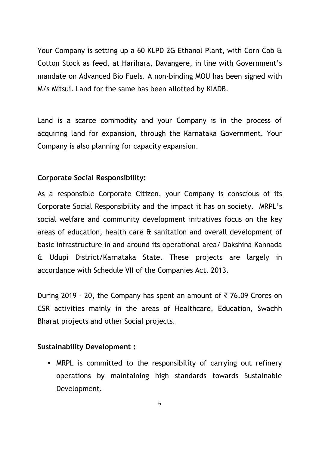Your Company is setting up a 60 KLPD 2G Ethanol Plant, with Corn Cob & Cotton Stock as feed, at Harihara, Davangere, in line with Government's mandate on Advanced Bio Fuels. A non-binding MOU has been signed with M/s Mitsui. Land for the same has been allotted by KIADB.

Land is a scarce commodity and your Company is in the process of acquiring land for expansion, through the Karnataka Government. Your Company is also planning for capacity expansion.

## **Corporate Social Responsibility:**

As a responsible Corporate Citizen, your Company is conscious of its Corporate Social Responsibility and the impact it has on society. MRPL's social welfare and community development initiatives focus on the key areas of education, health care & sanitation and overall development of basic infrastructure in and around its operational area/ Dakshina Kannada & Udupi District/Karnataka State. These projects are largely in accordance with Schedule VII of the Companies Act, 2013.

During 2019 - 20, the Company has spent an amount of  $\bar{\tau}$  76.09 Crores on CSR activities mainly in the areas of Healthcare, Education, Swachh Bharat projects and other Social projects.

## **Sustainability Development :**

• MRPL is committed to the responsibility of carrying out refinery operations by maintaining high standards towards Sustainable Development.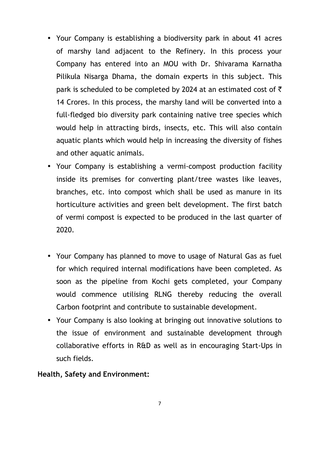- Your Company is establishing a biodiversity park in about 41 acres of marshy land adjacent to the Refinery. In this process your Company has entered into an MOU with Dr. Shivarama Karnatha Pilikula Nisarga Dhama, the domain experts in this subject. This park is scheduled to be completed by 2024 at an estimated cost of  $\bar{\tau}$ 14 Crores. In this process, the marshy land will be converted into a full-fledged bio diversity park containing native tree species which would help in attracting birds, insects, etc. This will also contain aquatic plants which would help in increasing the diversity of fishes and other aquatic animals.
- Your Company is establishing a vermi-compost production facility inside its premises for converting plant/tree wastes like leaves, branches, etc. into compost which shall be used as manure in its horticulture activities and green belt development. The first batch of vermi compost is expected to be produced in the last quarter of 2020.
- Your Company has planned to move to usage of Natural Gas as fuel for which required internal modifications have been completed. As soon as the pipeline from Kochi gets completed, your Company would commence utilising RLNG thereby reducing the overall Carbon footprint and contribute to sustainable development.
- Your Company is also looking at bringing out innovative solutions to the issue of environment and sustainable development through collaborative efforts in R&D as well as in encouraging Start-Ups in such fields.

**Health, Safety and Environment:**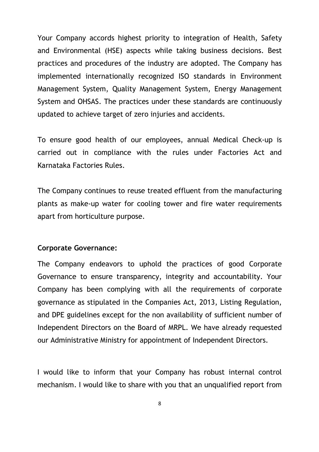Your Company accords highest priority to integration of Health, Safety and Environmental (HSE) aspects while taking business decisions. Best practices and procedures of the industry are adopted. The Company has implemented internationally recognized ISO standards in Environment Management System, Quality Management System, Energy Management System and OHSAS. The practices under these standards are continuously updated to achieve target of zero injuries and accidents.

To ensure good health of our employees, annual Medical Check-up is carried out in compliance with the rules under Factories Act and Karnataka Factories Rules.

The Company continues to reuse treated effluent from the manufacturing plants as make-up water for cooling tower and fire water requirements apart from horticulture purpose.

#### **Corporate Governance:**

The Company endeavors to uphold the practices of good Corporate Governance to ensure transparency, integrity and accountability. Your Company has been complying with all the requirements of corporate governance as stipulated in the Companies Act, 2013, Listing Regulation, and DPE guidelines except for the non availability of sufficient number of Independent Directors on the Board of MRPL. We have already requested our Administrative Ministry for appointment of Independent Directors.

I would like to inform that your Company has robust internal control mechanism. I would like to share with you that an unqualified report from